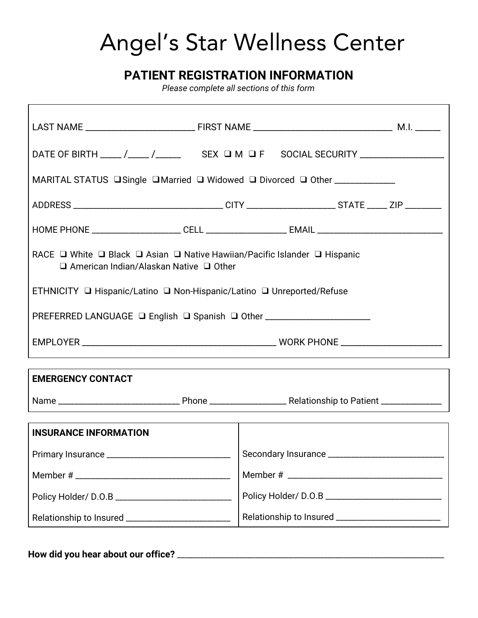# Angel's Star Wellness Center

### **PATIENT REGISTRATION INFORMATION**

*Please complete all sections of this form*

| RACE $\Box$ White $\Box$ Black $\Box$ Asian $\Box$ Native Hawiian/Pacific Islander $\Box$ Hispanic<br>$\Box$ American Indian/Alaskan Native $\Box$ Other |                                                                                                                                                                                                                                                                                                                                                                                                                                 |  |  |
|----------------------------------------------------------------------------------------------------------------------------------------------------------|---------------------------------------------------------------------------------------------------------------------------------------------------------------------------------------------------------------------------------------------------------------------------------------------------------------------------------------------------------------------------------------------------------------------------------|--|--|
|                                                                                                                                                          |                                                                                                                                                                                                                                                                                                                                                                                                                                 |  |  |
|                                                                                                                                                          |                                                                                                                                                                                                                                                                                                                                                                                                                                 |  |  |
|                                                                                                                                                          |                                                                                                                                                                                                                                                                                                                                                                                                                                 |  |  |
| ,我们也不会有什么。""我们的人,我们也不会有什么?""我们的人,我们也不会有什么?""我们的人,我们也不会有什么?""我们的人,我们也不会有什么?""我们的人<br><b>EMERGENCY CONTACT</b>                                             |                                                                                                                                                                                                                                                                                                                                                                                                                                 |  |  |
|                                                                                                                                                          |                                                                                                                                                                                                                                                                                                                                                                                                                                 |  |  |
|                                                                                                                                                          |                                                                                                                                                                                                                                                                                                                                                                                                                                 |  |  |
| Secondary Insurance ____                                                                                                                                 |                                                                                                                                                                                                                                                                                                                                                                                                                                 |  |  |
|                                                                                                                                                          |                                                                                                                                                                                                                                                                                                                                                                                                                                 |  |  |
|                                                                                                                                                          |                                                                                                                                                                                                                                                                                                                                                                                                                                 |  |  |
|                                                                                                                                                          |                                                                                                                                                                                                                                                                                                                                                                                                                                 |  |  |
|                                                                                                                                                          | DATE OF BIRTH ____ /____ /_____ SEX O M O F SOCIAL SECURITY __________________<br>MARITAL STATUS □ Single □ Married □ Widowed □ Divorced □ Other _______________<br>ADDRESS __________________________________CITY ______________________STATE _____ ZIP _________<br>ETHNICITY □ Hispanic/Latino □ Non-Hispanic/Latino □ Unreported/Refuse<br>PREFERRED LANGUAGE □ English □ Spanish □ Other _________________________________ |  |  |

**How did you hear about our office?** \_\_\_\_\_\_\_\_\_\_\_\_\_\_\_\_\_\_\_\_\_\_\_\_\_\_\_\_\_\_\_\_\_\_\_\_\_\_\_\_\_\_\_\_\_\_\_\_\_\_\_\_\_\_\_\_\_\_\_\_\_\_\_\_\_\_\_\_\_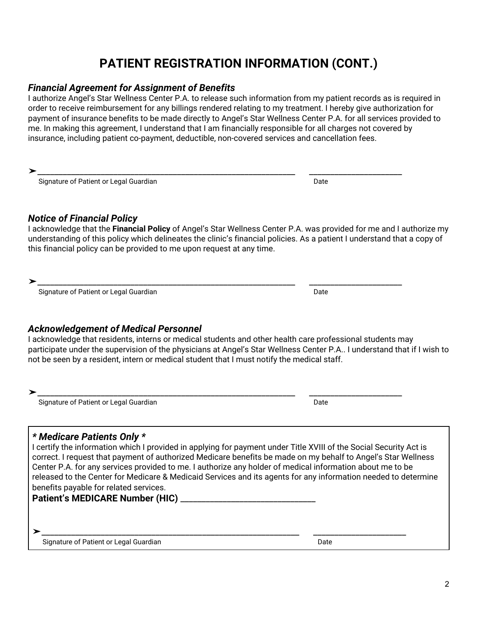## **PATIENT REGISTRATION INFORMATION (CONT.)**

#### *Financial Agreement for Assignment of Benefits*

I authorize Angel's Star Wellness Center P.A. to release such information from my patient records as is required in order to receive reimbursement for any billings rendered relating to my treatment. I hereby give authorization for payment of insurance benefits to be made directly to Angel's Star Wellness Center P.A. for all services provided to me. In making this agreement, I understand that I am financially responsible for all charges not covered by insurance, including patient co-payment, deductible, non-covered services and cancellation fees.

➤\_\_\_\_\_\_\_\_\_\_\_\_\_\_\_\_\_\_\_\_\_\_\_\_\_\_\_\_\_\_\_\_\_\_\_\_\_\_\_\_\_\_\_\_\_\_\_\_\_\_\_\_\_\_\_\_\_\_\_\_\_ \_\_\_\_\_\_\_\_\_\_\_\_\_\_\_\_\_\_\_\_\_\_

| Signature of Patient or Legal Guardian | Date |
|----------------------------------------|------|
|                                        |      |

#### *Notice of Financial Policy*

I acknowledge that the **Financial Policy** of Angel's Star Wellness Center P.A. was provided for me and I authorize my understanding of this policy which delineates the clinic's financial policies. As a patient I understand that a copy of this financial policy can be provided to me upon request at any time.

➤\_\_\_\_\_\_\_\_\_\_\_\_\_\_\_\_\_\_\_\_\_\_\_\_\_\_\_\_\_\_\_\_\_\_\_\_\_\_\_\_\_\_\_\_\_\_\_\_\_\_\_\_\_\_\_\_\_\_\_\_\_ \_\_\_\_\_\_\_\_\_\_\_\_\_\_\_\_\_\_\_\_\_\_

Signature of Patient or Legal Guardian Date Date of Patient of Legal Guardian Date Date Date Date Date Date Da

#### *Acknowledgement of Medical Personnel*

I acknowledge that residents, interns or medical students and other health care professional students may participate under the supervision of the physicians at Angel's Star Wellness Center P.A.. I understand that if I wish to not be seen by a resident, intern or medical student that I must notify the medical staff.

➤\_\_\_\_\_\_\_\_\_\_\_\_\_\_\_\_\_\_\_\_\_\_\_\_\_\_\_\_\_\_\_\_\_\_\_\_\_\_\_\_\_\_\_\_\_\_\_\_\_\_\_\_\_\_\_\_\_\_\_\_\_ \_\_\_\_\_\_\_\_\_\_\_\_\_\_\_\_\_\_\_\_\_\_ Signature of Patient or Legal Guardian Date Controller and Date Date

#### *\* Medicare Patients Only \**

I certify the information which I provided in applying for payment under Title XVIII of the Social Security Act is correct. I request that payment of authorized Medicare benefits be made on my behalf to Angel's Star Wellness Center P.A. for any services provided to me. I authorize any holder of medical information about me to be released to the Center for Medicare & Medicaid Services and its agents for any information needed to determine benefits payable for related services.

**Patient's MEDICARE Number (HIC)** \_\_\_\_\_\_\_\_\_\_\_\_\_\_\_\_\_\_\_\_\_\_\_\_\_\_\_\_\_\_\_\_

Signature of Patient or Legal Guardian Date Communication Chate

➤\_\_\_\_\_\_\_\_\_\_\_\_\_\_\_\_\_\_\_\_\_\_\_\_\_\_\_\_\_\_\_\_\_\_\_\_\_\_\_\_\_\_\_\_\_\_\_\_\_\_\_\_\_\_\_\_\_\_\_\_\_ \_\_\_\_\_\_\_\_\_\_\_\_\_\_\_\_\_\_\_\_\_\_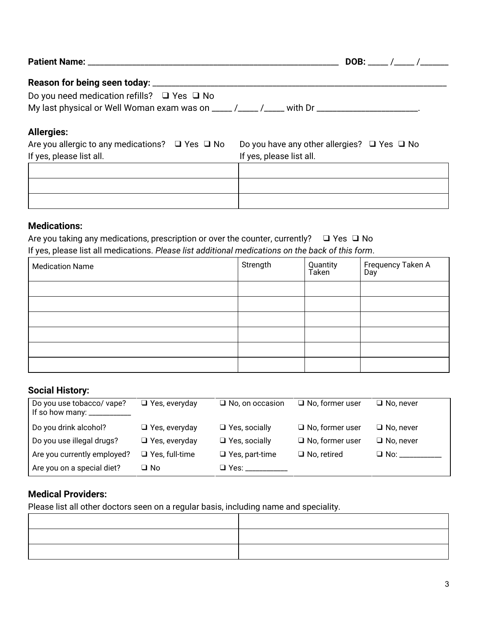|                                                                                                                                   | <b>DOB:</b> / /                                       |
|-----------------------------------------------------------------------------------------------------------------------------------|-------------------------------------------------------|
|                                                                                                                                   |                                                       |
| Do you need medication refills? $\Box$ Yes $\Box$ No                                                                              |                                                       |
| My last physical or Well Woman exam was on $\frac{1}{2}$ / $\frac{1}{2}$ / $\frac{1}{2}$ with Dr $\frac{1}{2}$ with $\frac{1}{2}$ |                                                       |
| <b>Allergies:</b>                                                                                                                 |                                                       |
| Are you allergic to any medications? $\Box$ Yes $\Box$ No                                                                         | Do you have any other allergies? $\Box$ Yes $\Box$ No |
| If yes, please list all.                                                                                                          | If yes, please list all.                              |
|                                                                                                                                   |                                                       |

#### **Medications:**

| Are you taking any medications, prescription or over the counter, currently? $\Box$ Yes $\Box$ No |  |
|---------------------------------------------------------------------------------------------------|--|
| If yes, please list all medications. Please list additional medications on the back of this form. |  |

| <b>Medication Name</b> | Strength | Quantity<br>Taken | <sup>l</sup> Frequency Taken A<br>Day |
|------------------------|----------|-------------------|---------------------------------------|
|                        |          |                   |                                       |
|                        |          |                   |                                       |
|                        |          |                   |                                       |
|                        |          |                   |                                       |
|                        |          |                   |                                       |
|                        |          |                   |                                       |

#### **Social History:**

| Do you use tobacco/ vape?<br>If so how many: $\frac{1}{2}$ | $\Box$ Yes, everyday  | $\Box$ No, on occasion | $\Box$ No, former user | $\Box$ No, never |
|------------------------------------------------------------|-----------------------|------------------------|------------------------|------------------|
| Do you drink alcohol?                                      | $\Box$ Yes, everyday  | $\Box$ Yes, socially   | $\Box$ No, former user | $\Box$ No, never |
| Do you use illegal drugs?                                  | $\Box$ Yes, everyday  | $\Box$ Yes, socially   | $\Box$ No, former user | $\Box$ No, never |
| Are you currently employed?                                | $\Box$ Yes, full-time | $\Box$ Yes, part-time  | $\Box$ No, retired     | $\Box$ No:       |
| Are you on a special diet?                                 | ⊒ No                  | $\Box$ Yes:            |                        |                  |

#### **Medical Providers:**

Please list all other doctors seen on a regular basis, including name and speciality.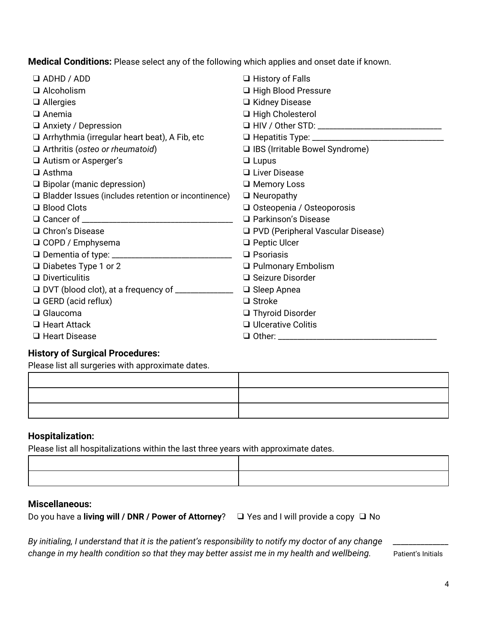**Medical Conditions:** Please select any of the following which applies and onset date if known.

| $\Box$ ADHD / ADD                                          | $\Box$ History of Falls             |
|------------------------------------------------------------|-------------------------------------|
| $\Box$ Alcoholism                                          | □ High Blood Pressure               |
| $\Box$ Allergies                                           | □ Kidney Disease                    |
| $\Box$ Anemia                                              | □ High Cholesterol                  |
| $\Box$ Anxiety / Depression                                |                                     |
| $\Box$ Arrhythmia (irregular heart beat), A Fib, etc       |                                     |
| $\Box$ Arthritis (osteo or rheumatoid)                     | □ IBS (Irritable Bowel Syndrome)    |
| $\Box$ Autism or Asperger's                                | $\Box$ Lupus                        |
| $\Box$ Asthma                                              | $\Box$ Liver Disease                |
| $\Box$ Bipolar (manic depression)                          | $\Box$ Memory Loss                  |
| $\Box$ Bladder Issues (includes retention or incontinence) | $\Box$ Neuropathy                   |
| $\Box$ Blood Clots                                         | □ Osteopenia / Osteoporosis         |
|                                                            | □ Parkinson's Disease               |
| $\Box$ Chron's Disease                                     | □ PVD (Peripheral Vascular Disease) |
| □ COPD / Emphysema                                         | $\Box$ Peptic Ulcer                 |
|                                                            | $\Box$ Psoriasis                    |
| $\Box$ Diabetes Type 1 or 2                                | □ Pulmonary Embolism                |
| $\Box$ Diverticulitis                                      | $\Box$ Seizure Disorder             |
|                                                            | $\Box$ Sleep Apnea                  |
| $\Box$ GERD (acid reflux)                                  | $\Box$ Stroke                       |
| $\Box$ Glaucoma                                            | □ Thyroid Disorder                  |
| $\Box$ Heart Attack                                        | $\Box$ Ulcerative Colitis           |
| $\Box$ Heart Disease                                       | $\Box$ Other:                       |

#### **History of Surgical Procedures:**

Please list all surgeries with approximate dates.

#### **Hospitalization:**

Please list all hospitalizations within the last three years with approximate dates.

#### **Miscellaneous:**

Do you have a **living will / DNR / Power of Attorney**? ❑ Yes and I will provide a copy ❑ No

By initialing, I understand that it is the patient's responsibility to notify my doctor of any change change in my health condition so that they may better assist me in my health and wellbeing. Patient's Initials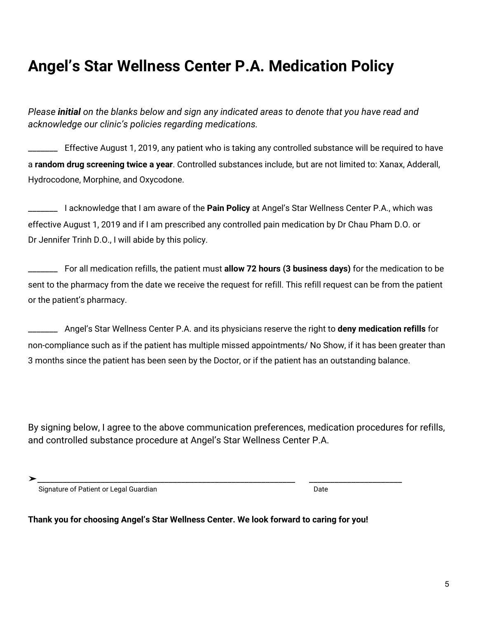## **Angel's Star Wellness Center P.A. Medication Policy**

*Please initial on the blanks below and sign any indicated areas to denote that you have read and acknowledge our clinic's policies regarding medications.*

\_\_\_\_\_\_\_ Effective August 1, 2019, any patient who is taking any controlled substance will be required to have a **random drug screening twice a year**. Controlled substances include, but are not limited to: Xanax, Adderall, Hydrocodone, Morphine, and Oxycodone.

\_\_\_\_\_\_\_ I acknowledge that I am aware of the **Pain Policy** at Angel's Star Wellness Center P.A., which was effective August 1, 2019 and if I am prescribed any controlled pain medication by Dr Chau Pham D.O. or Dr Jennifer Trinh D.O., I will abide by this policy.

\_\_\_\_\_\_\_ For all medication refills, the patient must **allow 72 hours (3 business days)** for the medication to be sent to the pharmacy from the date we receive the request for refill. This refill request can be from the patient or the patient's pharmacy.

\_\_\_\_\_\_\_ Angel's Star Wellness Center P.A. and its physicians reserve the right to **deny medication refills** for non-compliance such as if the patient has multiple missed appointments/ No Show, if it has been greater than 3 months since the patient has been seen by the Doctor, or if the patient has an outstanding balance.

By signing below, I agree to the above communication preferences, medication procedures for refills, and controlled substance procedure at Angel's Star Wellness Center P.A.

Signature of Patient or Legal Guardian Date Controller and Date Date Date

**Thank you for choosing Angel's Star Wellness Center. We look forward to caring for you!**

➤\_\_\_\_\_\_\_\_\_\_\_\_\_\_\_\_\_\_\_\_\_\_\_\_\_\_\_\_\_\_\_\_\_\_\_\_\_\_\_\_\_\_\_\_\_\_\_\_\_\_\_\_\_\_\_\_\_\_\_\_\_ \_\_\_\_\_\_\_\_\_\_\_\_\_\_\_\_\_\_\_\_\_\_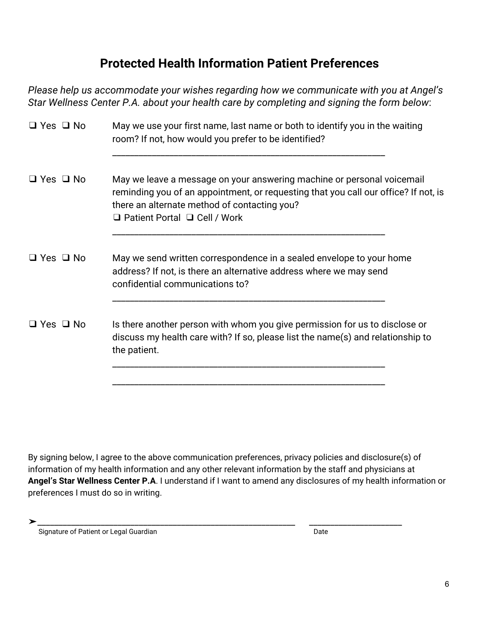## **Protected Health Information Patient Preferences**

*Please help us accommodate your wishes regarding how we communicate with you at Angel's Star Wellness Center P.A. about your health care by completing and signing the form below*:

| $\Box$ Yes $\Box$ No | May we use your first name, last name or both to identify you in the waiting<br>room? If not, how would you prefer to be identified?                                                                                                                      |
|----------------------|-----------------------------------------------------------------------------------------------------------------------------------------------------------------------------------------------------------------------------------------------------------|
| $\Box$ Yes $\Box$ No | May we leave a message on your answering machine or personal voicemail<br>reminding you of an appointment, or requesting that you call our office? If not, is<br>there an alternate method of contacting you?<br>$\Box$ Patient Portal $\Box$ Cell / Work |
| $\Box$ Yes $\Box$ No | May we send written correspondence in a sealed envelope to your home<br>address? If not, is there an alternative address where we may send<br>confidential communications to?                                                                             |
| $\Box$ Yes $\Box$ No | Is there another person with whom you give permission for us to disclose or<br>discuss my health care with? If so, please list the name(s) and relationship to<br>the patient.                                                                            |

By signing below, I agree to the above communication preferences, privacy policies and disclosure(s) of information of my health information and any other relevant information by the staff and physicians at **Angel's Star Wellness Center P.A**. I understand if I want to amend any disclosures of my health information or preferences I must do so in writing.

➤\_\_\_\_\_\_\_\_\_\_\_\_\_\_\_\_\_\_\_\_\_\_\_\_\_\_\_\_\_\_\_\_\_\_\_\_\_\_\_\_\_\_\_\_\_\_\_\_\_\_\_\_\_\_\_\_\_\_\_\_\_ \_\_\_\_\_\_\_\_\_\_\_\_\_\_\_\_\_\_\_\_\_\_ Signature of Patient or Legal Guardian Date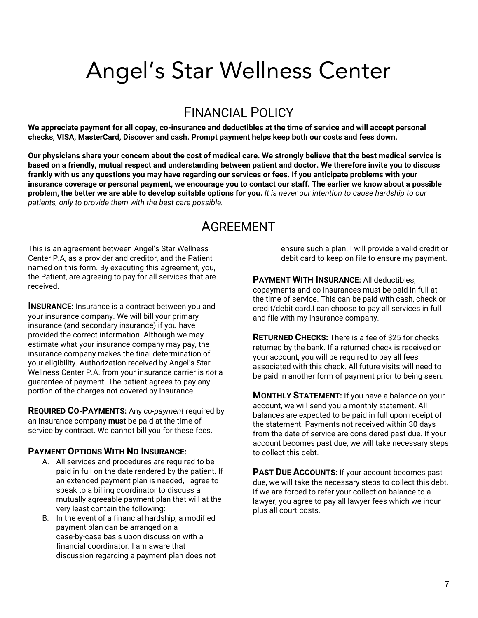## Angel's Star Wellness Center

## FINANCIAL POLICY

We appreciate payment for all copay, co-insurance and deductibles at the time of service and will accept personal **checks, VISA, MasterCard, Discover and cash. Prompt payment helps keep both our costs and fees down.**

Our physicians share your concern about the cost of medical care. We strongly believe that the best medical service is based on a friendly, mutual respect and understanding between patient and doctor. We therefore invite you to discuss frankly with us any questions you may have regarding our services or fees. If you anticipate problems with your insurance coverage or personal payment, we encourage you to contact our staff. The earlier we know about a possible problem, the better we are able to develop suitable options for you. It is never our intention to cause hardship to our *patients, only to provide them with the best care possible.*

## **AGREEMENT**

This is an agreement between Angel's Star Wellness Center P.A, as a provider and creditor, and the Patient named on this form. By executing this agreement, you, the Patient, are agreeing to pay for all services that are received.

**INSURANCE:** Insurance is a contract between you and your insurance company. We will bill your primary insurance (and secondary insurance) if you have provided the correct information. Although we may estimate what your insurance company may pay, the insurance company makes the final determination of your eligibility. Authorization received by Angel's Star Wellness Center P.A. from your insurance carrier is *not* a guarantee of payment. The patient agrees to pay any portion of the charges not covered by insurance.

**REQUIRED CO-PAYMENTS:** Any *co-payment* required by an insurance company **must** be paid at the time of service by contract. We cannot bill you for these fees.

#### **PAYMENT OPTIONS WITH NO INSURANCE:**

- A. All services and procedures are required to be paid in full on the date rendered by the patient. If an extended payment plan is needed, I agree to speak to a billing coordinator to discuss a mutually agreeable payment plan that will at the very least contain the following:
- B. In the event of a financial hardship, a modified payment plan can be arranged on a case-by-case basis upon discussion with a financial coordinator. I am aware that discussion regarding a payment plan does not

ensure such a plan. I will provide a valid credit or debit card to keep on file to ensure my payment.

**PAYMENT WITH INSURANCE:** All deductibles, copayments and co-insurances must be paid in full at the time of service. This can be paid with cash, check or credit/debit card.I can choose to pay all services in full and file with my insurance company.

**RETURNED CHECKS:** There is a fee of \$25 for checks returned by the bank. If a returned check is received on your account, you will be required to pay all fees associated with this check. All future visits will need to be paid in another form of payment prior to being seen.

**MONTHLY STATEMENT:** If you have a balance on your account, we will send you a monthly statement. All balances are expected to be paid in full upon receipt of the statement. Payments not received within 30 days from the date of service are considered past due. If your account becomes past due, we will take necessary steps to collect this debt.

**PAST DUE ACCOUNTS:** If your account becomes past due, we will take the necessary steps to collect this debt. If we are forced to refer your collection balance to a lawyer, you agree to pay all lawyer fees which we incur plus all court costs.